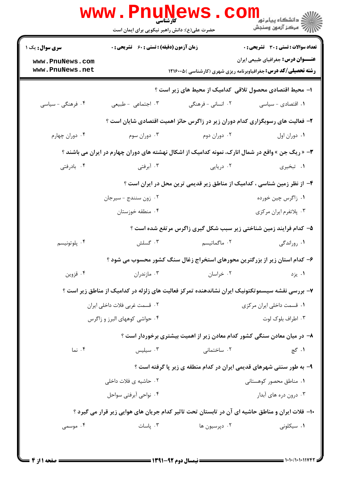|                                    | <b>www.PNUNEWS</b><br>حضرت علی(ع): دانش راهبر نیکویی برای ایمان است | <b>کارشناسی</b>           | <sup>ان</sup> گ دانشگاه پيام نور<br>ا∛ مرکز آزمون وسنجش                                                              |  |  |  |
|------------------------------------|---------------------------------------------------------------------|---------------------------|----------------------------------------------------------------------------------------------------------------------|--|--|--|
| <b>سری سوال :</b> یک ۱             | <b>زمان آزمون (دقیقه) : تستی : 60 ٪ تشریحی : 0</b>                  |                           | تعداد سوالات : تستي : 30 ٪ تشريحي : 0                                                                                |  |  |  |
| www.PnuNews.com<br>www.PnuNews.net |                                                                     |                           | <b>عنـــوان درس:</b> جغرافیای طبیعی ایران<br><b>رشته تحصیلی/کد درس:</b> جغرافیاوبرنامه ریزی شهری (کارشناسی ) ۱۲۱۶۰۰۵ |  |  |  |
|                                    | ا– محیط اقتصادی محصول تلاقی کدامیک از محیط های زیر است ؟            |                           |                                                                                                                      |  |  |  |
| ۰۴ فرهنگی - سیاسی                  | ۰۳ اجتماعی - طبیعی                                                  | ۰۲ انسانی - فرهنگی        | ۰۱ اقتصادی - سیاسی                                                                                                   |  |  |  |
|                                    |                                                                     |                           | ۲- فعالیت های رسوبگزاری کدام دوران زیر در زاگرس حائز اهمیت اقتصادی شایان است ؟                                       |  |  |  |
| ۰۴ دوران چهارم                     | ۰۳ دوران سوم                                                        | ۰۲ دوران دوم              | ٠١. دوران اول                                                                                                        |  |  |  |
|                                    |                                                                     |                           | <b>۳</b> - « ریگ جن » واقع در شمال انارک، نمونه کدامیک از اشکال نهشته های دوران چهارم در ایران می باشند ؟            |  |  |  |
| ۰۴ بادرفتي                         | ۰۳ آبرفتی                                                           | ۰۲ دریایی                 | ۰۱ تبخیری                                                                                                            |  |  |  |
|                                    |                                                                     |                           | ۴- از نظر زمین شناسی ، کدامیک از مناطق زیر قدیمی ترین محل در ایران است ؟                                             |  |  |  |
|                                    | ۰۲ زون سنندج - سيرجان                                               |                           | ۰۱ زاگرس چین خورده                                                                                                   |  |  |  |
|                                    | ۰۴ منطقه خوزستان                                                    |                           | ۰۳ پلاتفرم ايران مركزي                                                                                               |  |  |  |
|                                    |                                                                     |                           | ۵– کدام فرایند زمین شناختی زیر سبب شکل گیری زاگرس مرتفع شده است ؟                                                    |  |  |  |
| ۰۴ پلوتونيسم                       | ۰۳ گسلش                                                             | ۰۲ ماگماتیسم              | ۰۱ روراندگی                                                                                                          |  |  |  |
|                                    |                                                                     |                           | ۶– کدام استان زیر از بزرگترین محورهای استخراج زغال سنگ کشور محسوب می شود ؟                                           |  |  |  |
| ۰۴ قزوين                           | ۰۳ مازندران                                                         | ۰۲ خراسان                 | ۰۱ يزد                                                                                                               |  |  |  |
|                                    |                                                                     |                           | ۷– بررسی نقشه سیسموتکتونیک ایران نشاندهنده تمرکز فعالیت های زلزله در کدامیک از مناطق زیر است ؟                       |  |  |  |
|                                    | ۰۲ قسمت غربی فلات داخلی ایران                                       | ۰۱ قسمت داخلی ایران مرکزی |                                                                                                                      |  |  |  |
|                                    | ۰۳ اطراف بلوک لوت<br>۰۴ حواشی کوههای البرز و زاگرس                  |                           |                                                                                                                      |  |  |  |
|                                    |                                                                     |                           | ۸– در میان معادن سنگی کشور کدام معادن زیر از اهمیت بیشتری برخوردار است ؟                                             |  |  |  |
| ۰۴ نما                             | ۰۳ سیلیس $\cdot$                                                    | ۰۲ ساختمانی               | ۰۱ گچ                                                                                                                |  |  |  |
|                                    |                                                                     |                           | ۹- به طور سنتی شهرهای قدیمی ایران در کدام منطقه ی زیر پا گرفته است ؟                                                 |  |  |  |
|                                    | ۰۲ حاشیه ی فلات داخلی                                               |                           | ۰۱ مناطق محصور کوهستانی                                                                                              |  |  |  |
|                                    | ۰۴ نواحی آبرفتی سواحل                                               |                           | ۰۳ درون دره های آبدار                                                                                                |  |  |  |
|                                    |                                                                     |                           | ۱۰- فلات ایران و مناطق حاشیه ای آن در تابستان تحت تاثیر کدام جریان های هوایی زیر قرار می گیرد ؟                      |  |  |  |
| ۰۴ موسمی                           | ۰۳ پاسات                                                            | ۰۲ دپرسيون ها             | ۰۱ سیکلونی                                                                                                           |  |  |  |
|                                    |                                                                     |                           |                                                                                                                      |  |  |  |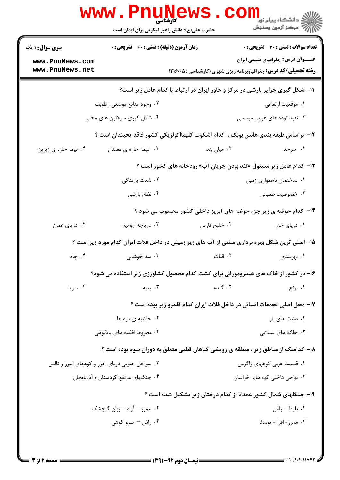|                                                | <b>www.Pnunews</b>                          | حضرت علی(ع): دانش راهبر نیکویی برای ایمان است | ک دانشگاه پيام نور<br>اگر دانشگاه پيام نور<br>اگر مرکز آزمون وسنجش                                                   |  |
|------------------------------------------------|---------------------------------------------|-----------------------------------------------|----------------------------------------------------------------------------------------------------------------------|--|
| <b>سری سوال : ۱ یک</b>                         | زمان آزمون (دقیقه) : تستی : 60 ٪ تشریحی : 0 |                                               | <b>تعداد سوالات : تستی : 30 ٪ تشریحی : 0</b>                                                                         |  |
| www.PnuNews.com<br>www.PnuNews.net             |                                             |                                               | <b>عنـــوان درس:</b> جغرافیای طبیعی ایران<br><b>رشته تحصیلی/کد درس:</b> جغرافیاوبرنامه ریزی شهری (کارشناسی ) ۱۲۱۶۰۰۵ |  |
|                                                |                                             |                                               | 11- شکل گیری جزایر بارشی در مرکز و خاور ایران در ارتباط با کدام عامل زیر است؟                                        |  |
|                                                | ۰۲ وجود منابع موضعی رطوبت                   |                                               | ۰۱ موقعیت ارتفاعی                                                                                                    |  |
|                                                | ۰۴ شکل گیری سیکلون های محلی                 |                                               | ۰۳ نفوذ توده های هوایی موسمی                                                                                         |  |
|                                                |                                             |                                               | ۱۲– براساس طبقه بندی هانس بوبک ، کدام اشکوب کلیمااکولژیکی کشور فاقد یخبندان است ؟                                    |  |
| ۰۴ نیمه حاره ی زیرین                           | ۰۳ نیمه حاره ی معتدل                        | ۰۲ میان بند                                   | ۰۱ سرحد                                                                                                              |  |
|                                                |                                             |                                               | ۱۳- کدام عامل زیر مسئول «تند بودن جریان آب» رودخانه های کشور است ؟                                                   |  |
|                                                | ۰۲ شدت بارندگی                              |                                               | ۰۱ ساختمان ناهمواری زمین                                                                                             |  |
|                                                | ۰۴ نظام بارشى                               |                                               | ۰۳ خصوصیت طغیانی                                                                                                     |  |
|                                                |                                             |                                               | ۱۴- کدام حوضه ی زیر جزء حوضه های آبریز داخلی کشور محسوب می شود ؟                                                     |  |
| ۰۴ دریای عمان                                  | ۰۳ دریاچه ارومیه                            | ۰۲ خلیج فارس                                  | ۰۱ دریای خزر                                                                                                         |  |
|                                                |                                             |                                               | ۱۵– اصلی ترین شکل بهره برداری سنتی از آب های زیر زمینی در داخل فلات ایران کدام مورد زیر است ؟                        |  |
| ۰۴ چاه                                         | ۰۳ سد خوشابی                                | ۰۲ قنات                                       | ۰۱ نهربندی                                                                                                           |  |
|                                                |                                             |                                               | ۱۶- در کشور از خاک های هیدرومورفی برای کشت کدام محصول کشاورزی زیر استفاده می شود؟                                    |  |
| ۰۴ سويا                                        | ۰۳ پنبه                                     | ۲. گندم                                       | ۰۱ برنج                                                                                                              |  |
|                                                |                                             |                                               | ۱۷- محل اصلی تجمعات انسانی در داخل فلات ایران کدام قلمرو زیر بوده است ؟                                              |  |
|                                                | ۰۲ حاشیه ی دره ها                           |                                               | ۰۱ دشت های باز                                                                                                       |  |
|                                                | ۰۴ مخروط افكنه هاى پايكوهي                  |                                               | ۰۳ جلگه های سیلابی                                                                                                   |  |
|                                                |                                             |                                               |                                                                                                                      |  |
|                                                |                                             |                                               | ۱۸– کدامیک از مناطق زیر ، منطقه ی رویشی گیاهان قطبی متعلق به دوران سوم بوده است ؟                                    |  |
| ۰۲ سواحل جنوبی دریای خزر و کوههای البرز و تالش |                                             |                                               | ۰۱ قسمت غربی کوههای زاگرس                                                                                            |  |
|                                                | ۰۴ جنگلهای مرتفع کردستان و آذربایجان        |                                               | ۰۳ نواحی داخلی کوه های خراسان                                                                                        |  |
|                                                |                                             |                                               | ۱۹- جنگلهای شمال کشور عمدتا از کدام درختان زیر تشکیل شده است ؟                                                       |  |
|                                                | ۰۲ ممرز – آزاد – زبان گنجشک                 |                                               | ۰۱ بلوط - راش                                                                                                        |  |
|                                                | ۰۴ راش – سرو کوهی                           |                                               | ۰۳ ممرز - افرا - توسکا                                                                                               |  |
|                                                |                                             |                                               |                                                                                                                      |  |
|                                                |                                             |                                               |                                                                                                                      |  |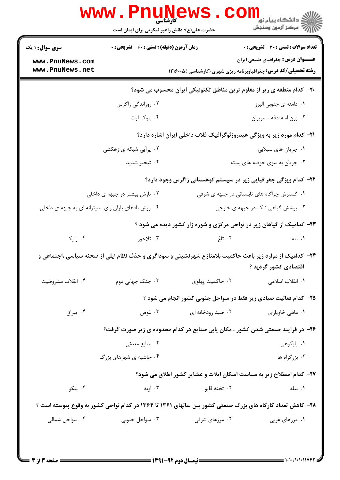|                                                     | زمان آزمون (دقیقه) : تستی : 60 ٪ تشریحی : 0                                                                      |                                                                                | <b>تعداد سوالات : تستی : 30 ٪ تشریحی : 0</b> |  |
|-----------------------------------------------------|------------------------------------------------------------------------------------------------------------------|--------------------------------------------------------------------------------|----------------------------------------------|--|
| <b>سری سوال : ۱ یک</b>                              |                                                                                                                  |                                                                                | <b>عنـــوان درس:</b> جغرافیای طبیعی ایران    |  |
| www.PnuNews.com<br>www.PnuNews.net                  |                                                                                                                  | <b>رشته تحصیلی/کد درس:</b> جغرافیاوبرنامه ریزی شهری (کارشناسی ) ۱۲۱۶۰۰۵        |                                              |  |
|                                                     |                                                                                                                  | +۲- کدام منطقه ی زیر از مقاوم ترین مناطق تکتونیکی ایران محسوب می شود؟          |                                              |  |
|                                                     | ۰۲ روراندگی زاگرس                                                                                                |                                                                                | ۰۱ دامنه ی جنوبی البرز                       |  |
|                                                     | ۰۴ بلوک لوت                                                                                                      |                                                                                | ۰۳ زون اسفندقه - مريوان                      |  |
|                                                     |                                                                                                                  | <b>۲۱</b> - کدام مورد زیر به ویژگی هیدروژئوگرافیک فلات داخلی ایران اشاره دارد؟ |                                              |  |
|                                                     | ۰۲ پرآبی شبکه ی زهکشی                                                                                            |                                                                                | ۰۱ جریان های سیلابی                          |  |
|                                                     | ۰۴ تبخیر شدید                                                                                                    |                                                                                | ۰۳ جریان به سوی حوضه های بسته                |  |
|                                                     |                                                                                                                  | ۲۲– کدام ویژگی جغرافیایی زیر در سیستم کوهستانی زاگرس وجود دارد؟                |                                              |  |
| ۰۲ بارش بیشتر در جبهه ی داخلی                       |                                                                                                                  | ۰۱ گسترش چراگاه های تابستانی در جبهه ی شرقی                                    |                                              |  |
| ۰۴ وزش بادهای باران زای مدیترانه ای به جبهه ی داخلی |                                                                                                                  |                                                                                | ۰۳ پوشش گیاهی تنک در جبهه ی خارجی            |  |
|                                                     |                                                                                                                  | ۲۳- کدامیک از گیاهان زیر در نواحی مرکزی و شوره زار کشور دیده می شود ؟          |                                              |  |
| ۰۴ ولیک                                             | ۰۳ تلاخور                                                                                                        | ۲. تاغ                                                                         | ۰۱ بنه                                       |  |
|                                                     | <b>۳۴</b> - کدامیک از موارد زیر باعث حاکمیت بلامنازع شهرنشینی و سوداگری و حذف نظام ایلی از صحنه سیاسی ،اجتماعی و |                                                                                | اقتصادی کشور گردید ؟                         |  |
| ۰۴ انقلاب مشروطيت                                   | ۰۳ جنگ جهانی دوم                                                                                                 | ۰۲ حاکمیت پهلوی                                                                | ٠١ انقلاب اسلامي                             |  |
|                                                     |                                                                                                                  | ۲۵- کدام فعالیت صیادی زیر فقط در سواحل جنوبی کشور انجام می شود ؟               |                                              |  |
| ۰۴ ييراق                                            | ۰۳ غوص                                                                                                           | ۰۲ صید رودخانه ای                                                              | ٠١ ماهي خاوياري                              |  |
|                                                     | ۲۶- در فرایند صنعتی شدن کشور ، مکان یابی صنایع در کدام محدوده ی زیر صورت گرفت؟                                   |                                                                                |                                              |  |
|                                                     | ۰۲ منابع معدنی                                                                                                   |                                                                                | ۰۱ پایکوهی                                   |  |
|                                                     | ۰۴ حاشیه ی شهرهای بزرگ                                                                                           |                                                                                | ۰۳ بزرگراه ها                                |  |
|                                                     |                                                                                                                  | ٢٧- كدام اصطلاح زير به سياست اسكان ايلات و عشاير كشور اطلاق مي شود؟            |                                              |  |
| ۰۴ بنکو                                             | ۰۳ اوبه                                                                                                          | ۰۲ تخته قاپو                                                                   | ۰۱ بیله                                      |  |
|                                                     | ۲۸– کاهش تعداد کارگاه های بزرگ صنعتی کشور بین سالهای ۱۳۶۱ تا ۱۳۶۴ در کدام نواحی کشور به وقوع پیوسته است ؟        |                                                                                |                                              |  |
| ۰۴ سواحل شمالی                                      | ۰۳ سواحل جنوبی                                                                                                   | ۰۲ مرزهای شرقی                                                                 | ۰۱ مرزهای غربی                               |  |